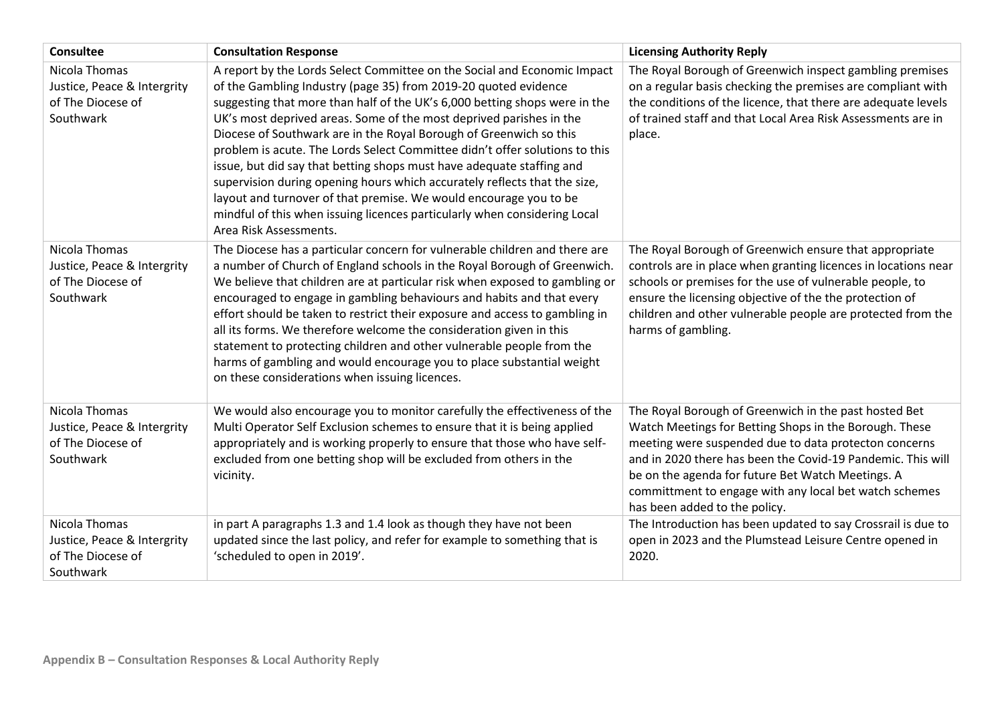| <b>Consultee</b>                                                               | <b>Consultation Response</b>                                                                                                                                                                                                                                                                                                                                                                                                                                                                                                                                                                                                                                                                                                                                                            | <b>Licensing Authority Reply</b>                                                                                                                                                                                                                                                                                                                                                        |
|--------------------------------------------------------------------------------|-----------------------------------------------------------------------------------------------------------------------------------------------------------------------------------------------------------------------------------------------------------------------------------------------------------------------------------------------------------------------------------------------------------------------------------------------------------------------------------------------------------------------------------------------------------------------------------------------------------------------------------------------------------------------------------------------------------------------------------------------------------------------------------------|-----------------------------------------------------------------------------------------------------------------------------------------------------------------------------------------------------------------------------------------------------------------------------------------------------------------------------------------------------------------------------------------|
| Nicola Thomas<br>Justice, Peace & Intergrity<br>of The Diocese of<br>Southwark | A report by the Lords Select Committee on the Social and Economic Impact<br>of the Gambling Industry (page 35) from 2019-20 quoted evidence<br>suggesting that more than half of the UK's 6,000 betting shops were in the<br>UK's most deprived areas. Some of the most deprived parishes in the<br>Diocese of Southwark are in the Royal Borough of Greenwich so this<br>problem is acute. The Lords Select Committee didn't offer solutions to this<br>issue, but did say that betting shops must have adequate staffing and<br>supervision during opening hours which accurately reflects that the size,<br>layout and turnover of that premise. We would encourage you to be<br>mindful of this when issuing licences particularly when considering Local<br>Area Risk Assessments. | The Royal Borough of Greenwich inspect gambling premises<br>on a regular basis checking the premises are compliant with<br>the conditions of the licence, that there are adequate levels<br>of trained staff and that Local Area Risk Assessments are in<br>place.                                                                                                                      |
| Nicola Thomas<br>Justice, Peace & Intergrity<br>of The Diocese of<br>Southwark | The Diocese has a particular concern for vulnerable children and there are<br>a number of Church of England schools in the Royal Borough of Greenwich.<br>We believe that children are at particular risk when exposed to gambling or<br>encouraged to engage in gambling behaviours and habits and that every<br>effort should be taken to restrict their exposure and access to gambling in<br>all its forms. We therefore welcome the consideration given in this<br>statement to protecting children and other vulnerable people from the<br>harms of gambling and would encourage you to place substantial weight<br>on these considerations when issuing licences.                                                                                                                | The Royal Borough of Greenwich ensure that appropriate<br>controls are in place when granting licences in locations near<br>schools or premises for the use of vulnerable people, to<br>ensure the licensing objective of the the protection of<br>children and other vulnerable people are protected from the<br>harms of gambling.                                                    |
| Nicola Thomas<br>Justice, Peace & Intergrity<br>of The Diocese of<br>Southwark | We would also encourage you to monitor carefully the effectiveness of the<br>Multi Operator Self Exclusion schemes to ensure that it is being applied<br>appropriately and is working properly to ensure that those who have self-<br>excluded from one betting shop will be excluded from others in the<br>vicinity.                                                                                                                                                                                                                                                                                                                                                                                                                                                                   | The Royal Borough of Greenwich in the past hosted Bet<br>Watch Meetings for Betting Shops in the Borough. These<br>meeting were suspended due to data protecton concerns<br>and in 2020 there has been the Covid-19 Pandemic. This will<br>be on the agenda for future Bet Watch Meetings. A<br>committment to engage with any local bet watch schemes<br>has been added to the policy. |
| Nicola Thomas<br>Justice, Peace & Intergrity<br>of The Diocese of<br>Southwark | in part A paragraphs 1.3 and 1.4 look as though they have not been<br>updated since the last policy, and refer for example to something that is<br>'scheduled to open in 2019'.                                                                                                                                                                                                                                                                                                                                                                                                                                                                                                                                                                                                         | The Introduction has been updated to say Crossrail is due to<br>open in 2023 and the Plumstead Leisure Centre opened in<br>2020.                                                                                                                                                                                                                                                        |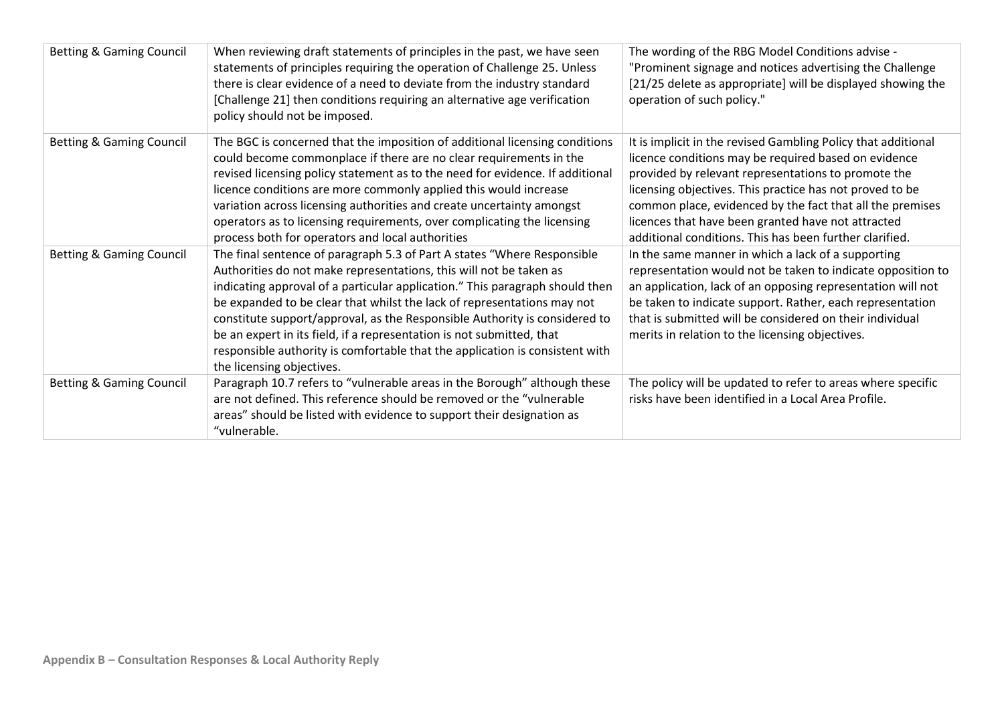| <b>Betting &amp; Gaming Council</b> | When reviewing draft statements of principles in the past, we have seen<br>statements of principles requiring the operation of Challenge 25. Unless<br>there is clear evidence of a need to deviate from the industry standard<br>[Challenge 21] then conditions requiring an alternative age verification<br>policy should not be imposed.                                                                                                                                                                                                                                  | The wording of the RBG Model Conditions advise -<br>"Prominent signage and notices advertising the Challenge<br>[21/25 delete as appropriate] will be displayed showing the<br>operation of such policy."                                                                                                                                                                                                              |
|-------------------------------------|------------------------------------------------------------------------------------------------------------------------------------------------------------------------------------------------------------------------------------------------------------------------------------------------------------------------------------------------------------------------------------------------------------------------------------------------------------------------------------------------------------------------------------------------------------------------------|------------------------------------------------------------------------------------------------------------------------------------------------------------------------------------------------------------------------------------------------------------------------------------------------------------------------------------------------------------------------------------------------------------------------|
| <b>Betting &amp; Gaming Council</b> | The BGC is concerned that the imposition of additional licensing conditions<br>could become commonplace if there are no clear requirements in the<br>revised licensing policy statement as to the need for evidence. If additional<br>licence conditions are more commonly applied this would increase<br>variation across licensing authorities and create uncertainty amongst<br>operators as to licensing requirements, over complicating the licensing<br>process both for operators and local authorities                                                               | It is implicit in the revised Gambling Policy that additional<br>licence conditions may be required based on evidence<br>provided by relevant representations to promote the<br>licensing objectives. This practice has not proved to be<br>common place, evidenced by the fact that all the premises<br>licences that have been granted have not attracted<br>additional conditions. This has been further clarified. |
| <b>Betting &amp; Gaming Council</b> | The final sentence of paragraph 5.3 of Part A states "Where Responsible<br>Authorities do not make representations, this will not be taken as<br>indicating approval of a particular application." This paragraph should then<br>be expanded to be clear that whilst the lack of representations may not<br>constitute support/approval, as the Responsible Authority is considered to<br>be an expert in its field, if a representation is not submitted, that<br>responsible authority is comfortable that the application is consistent with<br>the licensing objectives. | In the same manner in which a lack of a supporting<br>representation would not be taken to indicate opposition to<br>an application, lack of an opposing representation will not<br>be taken to indicate support. Rather, each representation<br>that is submitted will be considered on their individual<br>merits in relation to the licensing objectives.                                                           |
| <b>Betting &amp; Gaming Council</b> | Paragraph 10.7 refers to "vulnerable areas in the Borough" although these<br>are not defined. This reference should be removed or the "vulnerable"<br>areas" should be listed with evidence to support their designation as<br>"vulnerable.                                                                                                                                                                                                                                                                                                                                  | The policy will be updated to refer to areas where specific<br>risks have been identified in a Local Area Profile.                                                                                                                                                                                                                                                                                                     |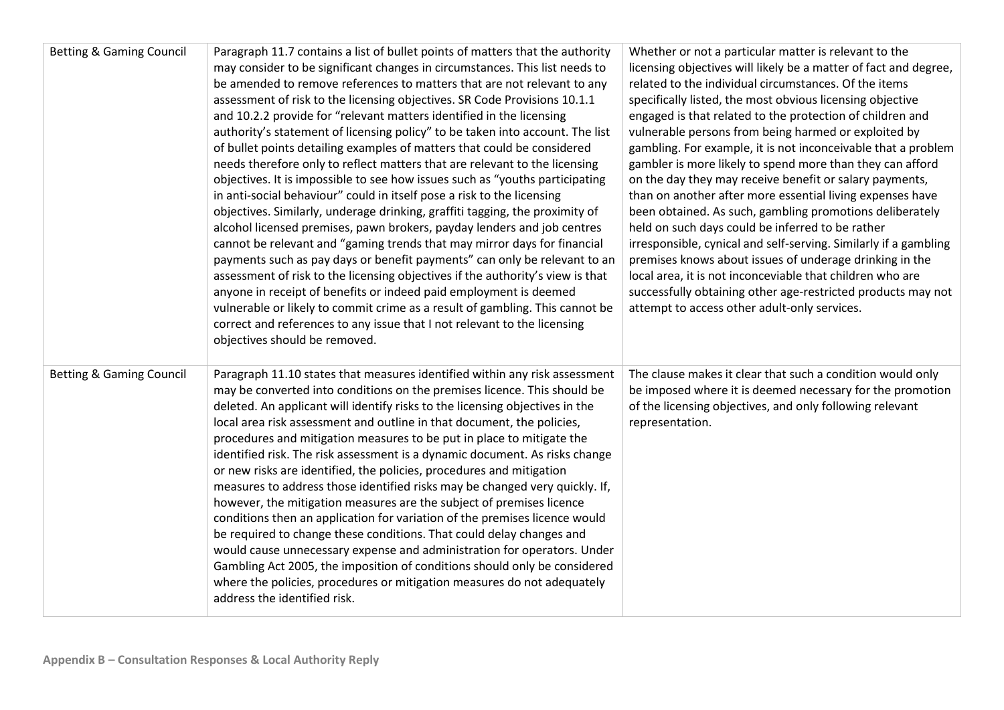| <b>Betting &amp; Gaming Council</b> | Paragraph 11.7 contains a list of bullet points of matters that the authority<br>may consider to be significant changes in circumstances. This list needs to<br>be amended to remove references to matters that are not relevant to any<br>assessment of risk to the licensing objectives. SR Code Provisions 10.1.1<br>and 10.2.2 provide for "relevant matters identified in the licensing<br>authority's statement of licensing policy" to be taken into account. The list<br>of bullet points detailing examples of matters that could be considered<br>needs therefore only to reflect matters that are relevant to the licensing<br>objectives. It is impossible to see how issues such as "youths participating<br>in anti-social behaviour" could in itself pose a risk to the licensing<br>objectives. Similarly, underage drinking, graffiti tagging, the proximity of<br>alcohol licensed premises, pawn brokers, payday lenders and job centres<br>cannot be relevant and "gaming trends that may mirror days for financial<br>payments such as pay days or benefit payments" can only be relevant to an<br>assessment of risk to the licensing objectives if the authority's view is that<br>anyone in receipt of benefits or indeed paid employment is deemed<br>vulnerable or likely to commit crime as a result of gambling. This cannot be<br>correct and references to any issue that I not relevant to the licensing<br>objectives should be removed. | Whether or not a particular matter is relevant to the<br>licensing objectives will likely be a matter of fact and degree,<br>related to the individual circumstances. Of the items<br>specifically listed, the most obvious licensing objective<br>engaged is that related to the protection of children and<br>vulnerable persons from being harmed or exploited by<br>gambling. For example, it is not inconceivable that a problem<br>gambler is more likely to spend more than they can afford<br>on the day they may receive benefit or salary payments,<br>than on another after more essential living expenses have<br>been obtained. As such, gambling promotions deliberately<br>held on such days could be inferred to be rather<br>irresponsible, cynical and self-serving. Similarly if a gambling<br>premises knows about issues of underage drinking in the<br>local area, it is not inconceviable that children who are<br>successfully obtaining other age-restricted products may not<br>attempt to access other adult-only services. |
|-------------------------------------|--------------------------------------------------------------------------------------------------------------------------------------------------------------------------------------------------------------------------------------------------------------------------------------------------------------------------------------------------------------------------------------------------------------------------------------------------------------------------------------------------------------------------------------------------------------------------------------------------------------------------------------------------------------------------------------------------------------------------------------------------------------------------------------------------------------------------------------------------------------------------------------------------------------------------------------------------------------------------------------------------------------------------------------------------------------------------------------------------------------------------------------------------------------------------------------------------------------------------------------------------------------------------------------------------------------------------------------------------------------------------------------------------------------------------------------------------------------------------|--------------------------------------------------------------------------------------------------------------------------------------------------------------------------------------------------------------------------------------------------------------------------------------------------------------------------------------------------------------------------------------------------------------------------------------------------------------------------------------------------------------------------------------------------------------------------------------------------------------------------------------------------------------------------------------------------------------------------------------------------------------------------------------------------------------------------------------------------------------------------------------------------------------------------------------------------------------------------------------------------------------------------------------------------------|
| <b>Betting &amp; Gaming Council</b> | Paragraph 11.10 states that measures identified within any risk assessment<br>may be converted into conditions on the premises licence. This should be<br>deleted. An applicant will identify risks to the licensing objectives in the<br>local area risk assessment and outline in that document, the policies,<br>procedures and mitigation measures to be put in place to mitigate the<br>identified risk. The risk assessment is a dynamic document. As risks change<br>or new risks are identified, the policies, procedures and mitigation<br>measures to address those identified risks may be changed very quickly. If,<br>however, the mitigation measures are the subject of premises licence<br>conditions then an application for variation of the premises licence would<br>be required to change these conditions. That could delay changes and<br>would cause unnecessary expense and administration for operators. Under<br>Gambling Act 2005, the imposition of conditions should only be considered<br>where the policies, procedures or mitigation measures do not adequately<br>address the identified risk.                                                                                                                                                                                                                                                                                                                                         | The clause makes it clear that such a condition would only<br>be imposed where it is deemed necessary for the promotion<br>of the licensing objectives, and only following relevant<br>representation.                                                                                                                                                                                                                                                                                                                                                                                                                                                                                                                                                                                                                                                                                                                                                                                                                                                 |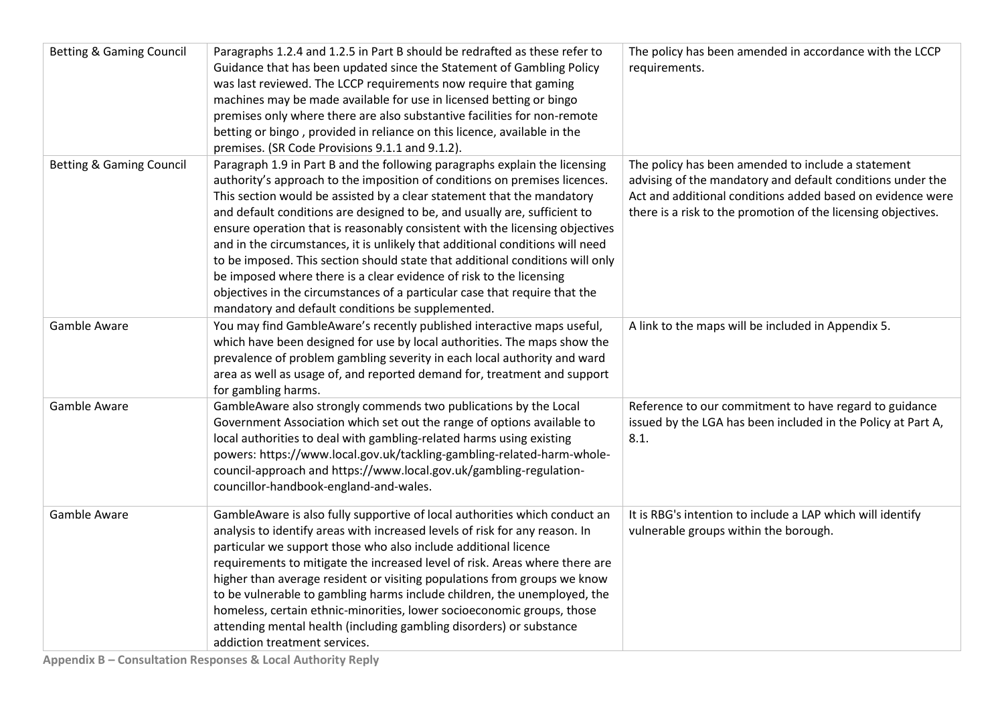| <b>Betting &amp; Gaming Council</b> | Paragraphs 1.2.4 and 1.2.5 in Part B should be redrafted as these refer to<br>Guidance that has been updated since the Statement of Gambling Policy<br>was last reviewed. The LCCP requirements now require that gaming<br>machines may be made available for use in licensed betting or bingo<br>premises only where there are also substantive facilities for non-remote<br>betting or bingo, provided in reliance on this licence, available in the<br>premises. (SR Code Provisions 9.1.1 and 9.1.2).                                                                                                                                                                                                                                                                   | The policy has been amended in accordance with the LCCP<br>requirements.                                                                                                                                                                        |
|-------------------------------------|-----------------------------------------------------------------------------------------------------------------------------------------------------------------------------------------------------------------------------------------------------------------------------------------------------------------------------------------------------------------------------------------------------------------------------------------------------------------------------------------------------------------------------------------------------------------------------------------------------------------------------------------------------------------------------------------------------------------------------------------------------------------------------|-------------------------------------------------------------------------------------------------------------------------------------------------------------------------------------------------------------------------------------------------|
| <b>Betting &amp; Gaming Council</b> | Paragraph 1.9 in Part B and the following paragraphs explain the licensing<br>authority's approach to the imposition of conditions on premises licences.<br>This section would be assisted by a clear statement that the mandatory<br>and default conditions are designed to be, and usually are, sufficient to<br>ensure operation that is reasonably consistent with the licensing objectives<br>and in the circumstances, it is unlikely that additional conditions will need<br>to be imposed. This section should state that additional conditions will only<br>be imposed where there is a clear evidence of risk to the licensing<br>objectives in the circumstances of a particular case that require that the<br>mandatory and default conditions be supplemented. | The policy has been amended to include a statement<br>advising of the mandatory and default conditions under the<br>Act and additional conditions added based on evidence were<br>there is a risk to the promotion of the licensing objectives. |
| Gamble Aware                        | You may find GambleAware's recently published interactive maps useful,<br>which have been designed for use by local authorities. The maps show the<br>prevalence of problem gambling severity in each local authority and ward<br>area as well as usage of, and reported demand for, treatment and support<br>for gambling harms.                                                                                                                                                                                                                                                                                                                                                                                                                                           | A link to the maps will be included in Appendix 5.                                                                                                                                                                                              |
| Gamble Aware                        | GambleAware also strongly commends two publications by the Local<br>Government Association which set out the range of options available to<br>local authorities to deal with gambling-related harms using existing<br>powers: https://www.local.gov.uk/tackling-gambling-related-harm-whole-<br>council-approach and https://www.local.gov.uk/gambling-regulation-<br>councillor-handbook-england-and-wales.                                                                                                                                                                                                                                                                                                                                                                | Reference to our commitment to have regard to guidance<br>issued by the LGA has been included in the Policy at Part A,<br>8.1.                                                                                                                  |
| Gamble Aware                        | GambleAware is also fully supportive of local authorities which conduct an<br>analysis to identify areas with increased levels of risk for any reason. In<br>particular we support those who also include additional licence<br>requirements to mitigate the increased level of risk. Areas where there are<br>higher than average resident or visiting populations from groups we know<br>to be vulnerable to gambling harms include children, the unemployed, the<br>homeless, certain ethnic-minorities, lower socioeconomic groups, those<br>attending mental health (including gambling disorders) or substance<br>addiction treatment services.                                                                                                                       | It is RBG's intention to include a LAP which will identify<br>vulnerable groups within the borough.                                                                                                                                             |

**Appendix B – Consultation Responses & Local Authority Reply**